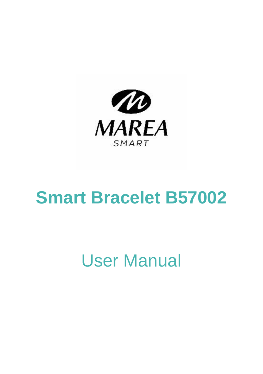

# **Smart Bracelet B57002**

# User Manual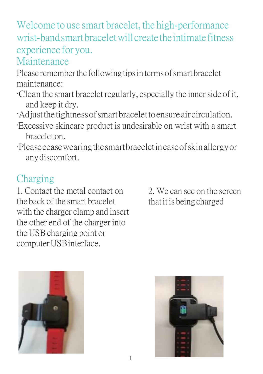Welcome to use smart bracelet, the high-performance wrist-bandsmart braceletwill create theintimate fitness experience for you.

Maintenance

Please remember the following tips in terms of smart bracelet maintenance:

- ·Clean the smart bracelet regularly, especially the inner side of it, and keep it dry.
- ·Adjustthe tightnessofsmartbracelettoensure aircirculation.
- ·Excessive skincare product is undesirable on wrist with a smart bracelet on.
- ·Pleaseceasewearingthesmartbraceletincaseofskinallergyor anydiscomfort.

# Charging

1. Contact the metal contact on the back of the smart bracelet with the charger clamp and insert the other end of the charger into the USB charging point or computer USB interface.

2. We can see on the screen thatit is being charged



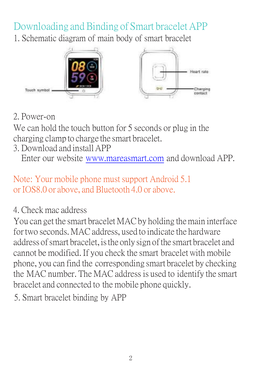Downloading and Binding of Smart bracelet APP 1. Schematic diagram of main body of smart bracelet



### 2. Power-on

We can hold the touch button for 5 seconds or plug in the charging clamp to charge the smart bracelet.

3. Download and install APP

Enter our websit[e www.mareasmart.com](http://www.mareasmart.com/) and download APP.

#### Note: Your mobile phone must support Android 5.1 or IOS8.0 or above, and Bluetooth 4.0 or above.

#### 4. Check mac address

You can get the smart bracelet MAC by holding the main interface fortwo seconds. MAC address, used to indicate the hardware address of smart bracelet, is the only sign of the smart bracelet and cannot be modified. If you check the smart braceletwith mobile phone, you can find the corresponding smart bracelet by checking the MAC number. The MAC address is used to identify the smart bracelet and connected to the mobile phone quickly.

5. Smart bracelet binding by APP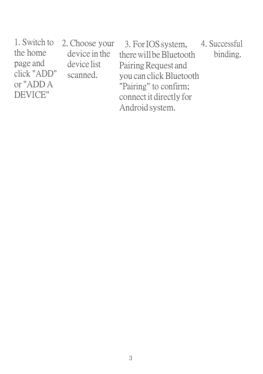| 2. Choose your | 3. For IOS system.      | 4. Successful |
|----------------|-------------------------|---------------|
| device in the  | there will be Bluetooth | binding.      |
| device list    | Pairing Request and     |               |
| scanned.       | vou can click Bluetooth |               |
|                | "Pairing" to confirm:   |               |
|                | connect it directly for |               |
|                | Android system.         |               |
|                |                         |               |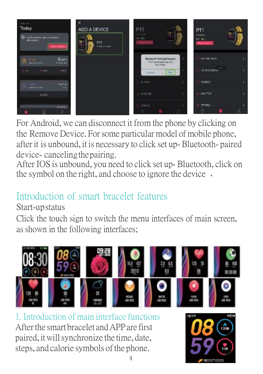

For Android, we can disconnect it from the phone by clicking on the Remove Device. Forsome particular model of mobile phone, after it is unbound, it is necessary to click set up- Bluetooth- paired device- canceling the pairing.

After IOS is unbound, you need to click set up- Bluetooth, click on the symbol on the right, and choose to ignore the device .

## Introduction of smart bracelet features

#### Start-upstatus

Click the touch sign to switch the menu interfaces of main screen, as shown in the following interfaces;



1. Introduction of main interface functions Afterthe smart bracelet andAPPare first paired, itwillsynchronize the time, date, steps, and calorie symbols of the phone.

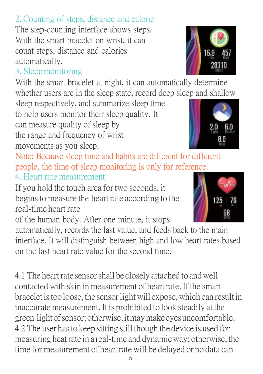# 2. Counting of steps, distance and calorie

The step-counting interface shows steps. With the smart bracelet on wrist, it can count steps, distance and calories automatically.

### 3. Sleepmonitoring

With the smart bracelet at night, it can automatically determine whether users are in the sleep state, record deep sleep and shallow

sleep respectively, and summarize sleep time to help users monitor their sleep quality. It can measure quality of sleep by the range and frequency of wrist movements as you sleep.

Note: Because sleep time and habits are different for different people, the time of sleep monitoring is only for reference. 4. Heart rate measurement

If you hold the touch area for two seconds, it beginsto measure the heart rate according to the real-time heart rate

of the human body. After one minute, it stops

automatically, records the last value, and feeds back to the main interface. It will distinguish between high and low heart rates based on the last heart rate value for the second time.

4.1 The heartrate sensorshall be closely attached to andwell contacted with skin in measurement of heart rate.If the smart bracelet is too loose, the sensor light will expose, which can result in inaccurate measurement. It is prohibited to look steadily at the green light of sensor; otherwise, it may make eyes uncomfortable. 4.2 The user hasto keep sitting still though the device is used for measuring heatrate in a real-time and dynamicway; otherwise, the time for measurement of heart rate will be delayed or no data can





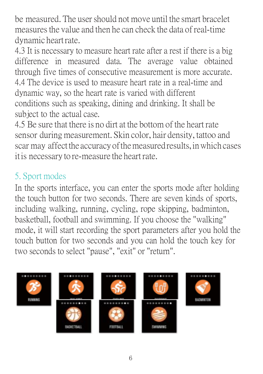be measured. The user should not move until the smart bracelet measuresthe value and then he can check the data of real-time dynamic heartrate.

4.3 It is necessary to measure heart rate after a rest if there is a big difference in measured data. The average value obtained through five times of consecutive measurement is more accurate. 4.4 The device is used to measure heart rate in a real-time and dynamic way, so the heart rate is varied with different conditions such as speaking, dining and drinking. It shall be subject to the actual case.

4.5 Be sure that there is no dirt at the bottom of the heart rate sensor during measurement. Skin color, hair density, tattoo and scar may affect the accuracy of the measured results, in which cases it is necessary to re-measure the heart rate.

## 5. Sport modes

In the sports interface, you can enter the sports mode after holding the touch button for two seconds. There are seven kinds of sports, including walking, running, cycling, rope skipping, badminton, basketball, football and swimming. If you choose the "walking" mode, it will start recording the sport parameters after you hold the touch button for two seconds and you can hold the touch key for two seconds to select "pause", "exit" or "return".

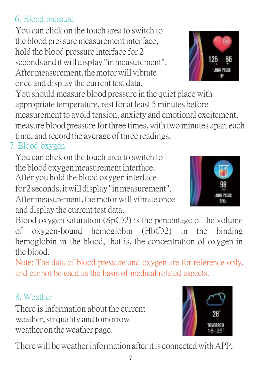## 6. Blood pressure

You can click on the touch area to switch to the blood pressuremeasurement interface, hold the blood pressure interface for 2 seconds and itwilldisplay "inmeasurement". After measurement, the motor will vibrate once and display the current test data.

You should measure blood pressure in the quiet placewith appropriate temperature, restfor at least 5 minutes before measurement to avoid tension, anxiety and emotional excitement, measure blood pressure for three times, with two minutes apart each time, and record the average of three readings.

#### 7. Blood oxygen

You can click on the touch area to switch to the blood oxygen measurement interface. After you hold the blood oxygen interface for2 seconds,itwilldisplay"inmeasurement". After measurement, themotorwill vibrate once and display the current test data.

Blood oxygen saturation ( $SpO2$ ) is the percentage of the volume of oxygen-bound hemoglobin (Hb〇2) in the binding hemoglobin in the blood, that is, the concentration of oxygen in the blood.

Note: The data of blood pressure and oxygen are for reference only, and cannot be used as the basis of medical related aspects.

### 8. Weather

There is information about the current weather,sir quality and tomorrow weather on theweather page.

There will be weather information after it is connected with APP.





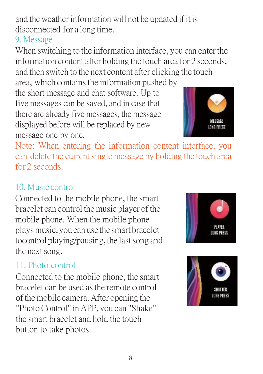and the weatherinformation will not be updated if it is disconnected for a long time.

### 9. Message

When switching to the information interface, you can enter the information content after holding the touch area for 2 seconds, and then switch to the next content after clicking the touch area, which contains the information pushed by

the short message and chat software. Up to five messages can be saved, and in case that there are already five messages, the message displayed before will be replaced by new message one by one.



Note: When entering the information content interface, you can delete the current single message by holding the touch area for 2 seconds.

## 10. Music control

Connected to the mobile phone, the smart bracelet can control the music player of the mobile phone. When the mobile phone playsmusic,you can use the smart bracelet tocontrol playing/pausing, the last song and the next song.

### 11. Photo control

Connected to the mobile phone, the smart bracelet can be used asthe remote control of the mobile camera. After opening the "Photo Control"inAPP, you can "Shake" the smart bracelet and hold the touch button to take photos.



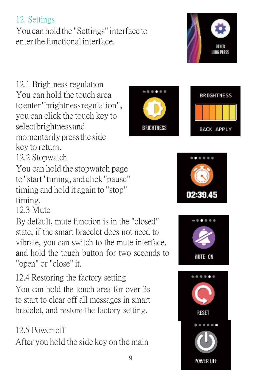## 12. Settings

You can hold the "Settings"interface to enterthe functionalinterface.

12.1 Brightness regulation You can hold the touch area toenter"brightnessregulation", you can click the touch key to selectbrightnessand momentarily pressthe side key to return.

12.2 Stopwatch

You can hold the stopwatch page to"start"timing, andclick"pause" timing and hold it again to "stop" timing.

12.3 Mute

By default, mute function is in the "closed" state, if the smart bracelet does not need to vibrate, you can switch to the mute interface, and hold the touch button for two seconds to "open" or "close" it.

12.4 Restoring the factory setting

You can hold the touch area for over 3s to start to clear off all messages in smart bracelet, and restore the factory setting.

## 12.5 Power-off

After you hold the side key on the main









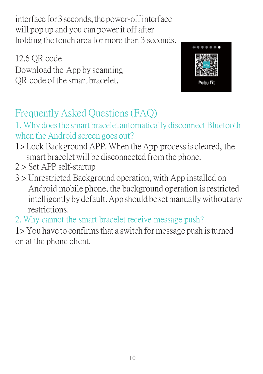interface for 3 seconds, the power-off interface will pop up and you can power it off after holding the touch area for more than 3 seconds.

12.6 QR code Download the App by scanning QR code of the smart bracelet.



# Frequently Asked Questions(FAQ)

#### 1. Why does the smart bracelet automatically disconnect Bluetooth when the Android screen goes out?

- 1> Lock Background APP. When theApp processis cleared, the smart bracelet will be disconnected from the phone.
- 2 > Set APP self-startup
- 3 > Unrestricted Background operation, with App installed on Android mobile phone, the background operation is restricted intelligently by default. App should be set manually without any restrictions.
- 2. Why cannot the smart bracelet receive message push?

1>You have to confirms that a switch for message push is turned on at the phone client.